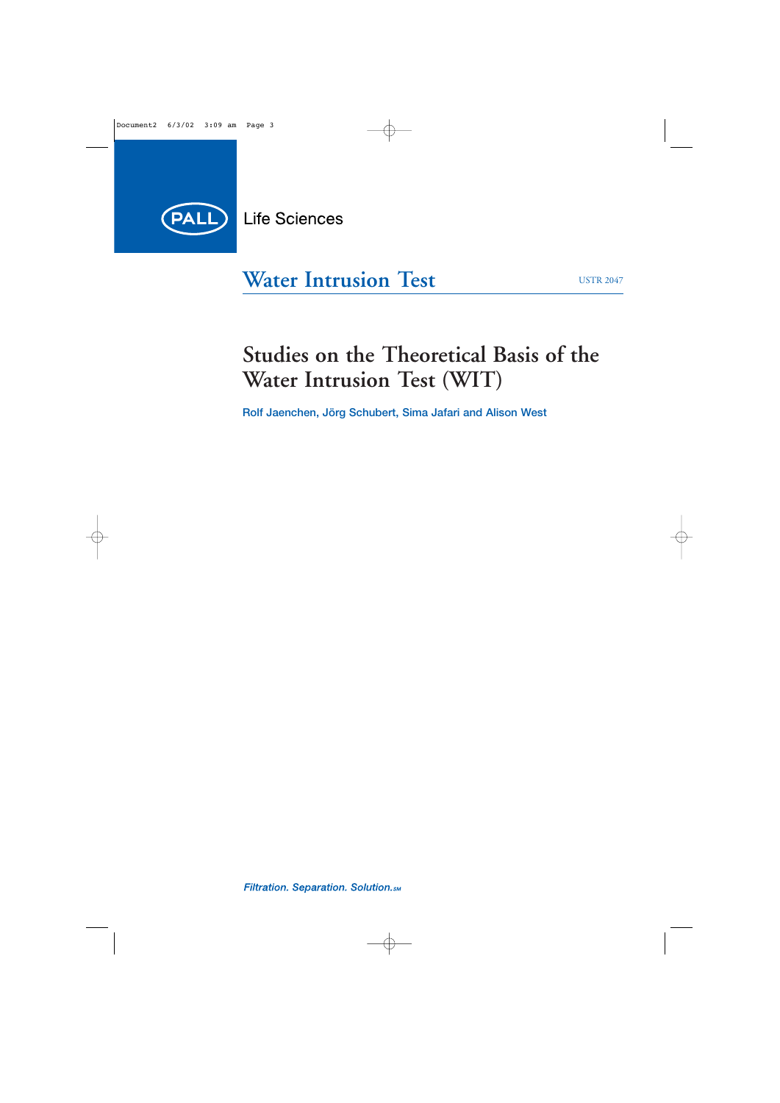

# **Water Intrusion Test**

# **Studies on the Theoretical Basis of the Water Intrusion Test (WIT)**

**Rolf Jaenchen, Jörg Schubert, Sima Jafari and Alison West**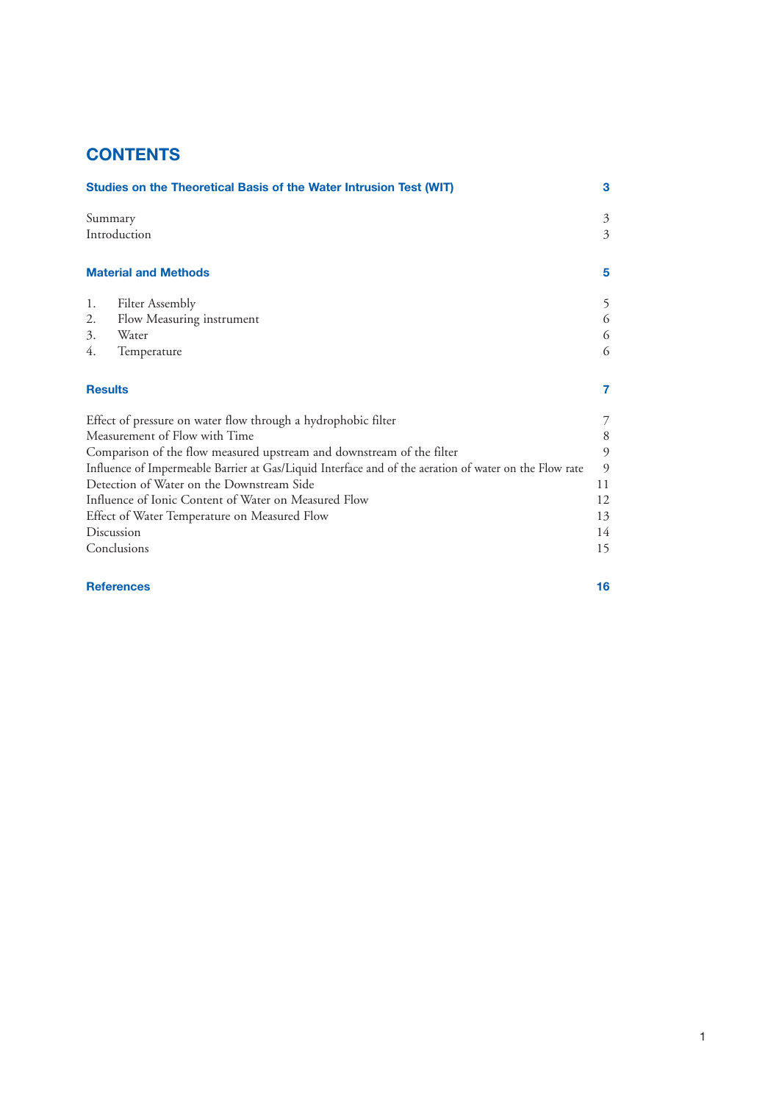# **CONTENTS**

|                                                                                                                                                                                                                                                                                                                                                                                                                                  |                                                                                                        | 3 |
|----------------------------------------------------------------------------------------------------------------------------------------------------------------------------------------------------------------------------------------------------------------------------------------------------------------------------------------------------------------------------------------------------------------------------------|--------------------------------------------------------------------------------------------------------|---|
| Studies on the Theoretical Basis of the Water Intrusion Test (WIT)<br>Summary<br>Introduction<br><b>Material and Methods</b><br><b>Filter Assembly</b><br>1.<br>Flow Measuring instrument<br>2.<br>3.<br>Water<br>Temperature<br>4.<br><b>Results</b><br>Effect of pressure on water flow through a hydrophobic filter<br>Measurement of Flow with Time<br>Comparison of the flow measured upstream and downstream of the filter | 3<br>3                                                                                                 |   |
|                                                                                                                                                                                                                                                                                                                                                                                                                                  |                                                                                                        | 5 |
|                                                                                                                                                                                                                                                                                                                                                                                                                                  |                                                                                                        | 5 |
|                                                                                                                                                                                                                                                                                                                                                                                                                                  |                                                                                                        | 6 |
|                                                                                                                                                                                                                                                                                                                                                                                                                                  |                                                                                                        | 6 |
|                                                                                                                                                                                                                                                                                                                                                                                                                                  |                                                                                                        | 6 |
|                                                                                                                                                                                                                                                                                                                                                                                                                                  | 7<br>$\overline{7}$<br>8<br>9<br>9<br>11<br>12<br>13<br>14<br>15                                       |   |
|                                                                                                                                                                                                                                                                                                                                                                                                                                  |                                                                                                        |   |
|                                                                                                                                                                                                                                                                                                                                                                                                                                  |                                                                                                        |   |
|                                                                                                                                                                                                                                                                                                                                                                                                                                  |                                                                                                        |   |
|                                                                                                                                                                                                                                                                                                                                                                                                                                  | Influence of Impermeable Barrier at Gas/Liquid Interface and of the aeration of water on the Flow rate |   |
|                                                                                                                                                                                                                                                                                                                                                                                                                                  | Detection of Water on the Downstream Side                                                              |   |
|                                                                                                                                                                                                                                                                                                                                                                                                                                  | Influence of Ionic Content of Water on Measured Flow                                                   |   |
|                                                                                                                                                                                                                                                                                                                                                                                                                                  | Effect of Water Temperature on Measured Flow                                                           |   |
|                                                                                                                                                                                                                                                                                                                                                                                                                                  | Discussion                                                                                             |   |
|                                                                                                                                                                                                                                                                                                                                                                                                                                  | Conclusions                                                                                            |   |
|                                                                                                                                                                                                                                                                                                                                                                                                                                  |                                                                                                        |   |

**References 16**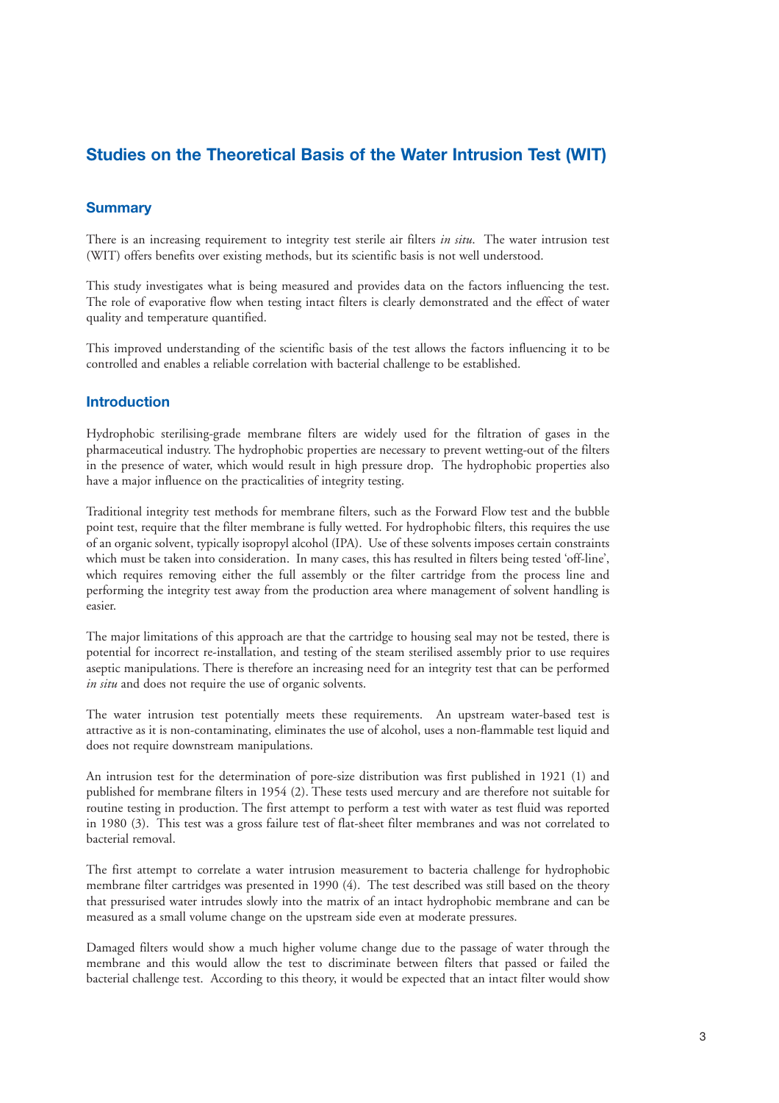# **Studies on the Theoretical Basis of the Water Intrusion Test (WIT)**

## **Summary**

There is an increasing requirement to integrity test sterile air filters *in situ*. The water intrusion test (WIT) offers benefits over existing methods, but its scientific basis is not well understood.

This study investigates what is being measured and provides data on the factors influencing the test. The role of evaporative flow when testing intact filters is clearly demonstrated and the effect of water quality and temperature quantified.

This improved understanding of the scientific basis of the test allows the factors influencing it to be controlled and enables a reliable correlation with bacterial challenge to be established.

### **Introduction**

Hydrophobic sterilising-grade membrane filters are widely used for the filtration of gases in the pharmaceutical industry. The hydrophobic properties are necessary to prevent wetting-out of the filters in the presence of water, which would result in high pressure drop. The hydrophobic properties also have a major influence on the practicalities of integrity testing.

Traditional integrity test methods for membrane filters, such as the Forward Flow test and the bubble point test, require that the filter membrane is fully wetted. For hydrophobic filters, this requires the use of an organic solvent, typically isopropyl alcohol (IPA). Use of these solvents imposes certain constraints which must be taken into consideration. In many cases, this has resulted in filters being tested 'off-line', which requires removing either the full assembly or the filter cartridge from the process line and performing the integrity test away from the production area where management of solvent handling is easier.

The major limitations of this approach are that the cartridge to housing seal may not be tested, there is potential for incorrect re-installation, and testing of the steam sterilised assembly prior to use requires aseptic manipulations. There is therefore an increasing need for an integrity test that can be performed *in situ* and does not require the use of organic solvents.

The water intrusion test potentially meets these requirements. An upstream water-based test is attractive as it is non-contaminating, eliminates the use of alcohol, uses a non-flammable test liquid and does not require downstream manipulations.

An intrusion test for the determination of pore-size distribution was first published in 1921 (1) and published for membrane filters in 1954 (2). These tests used mercury and are therefore not suitable for routine testing in production. The first attempt to perform a test with water as test fluid was reported in 1980 (3). This test was a gross failure test of flat-sheet filter membranes and was not correlated to bacterial removal.

The first attempt to correlate a water intrusion measurement to bacteria challenge for hydrophobic membrane filter cartridges was presented in 1990 (4). The test described was still based on the theory that pressurised water intrudes slowly into the matrix of an intact hydrophobic membrane and can be measured as a small volume change on the upstream side even at moderate pressures.

Damaged filters would show a much higher volume change due to the passage of water through the membrane and this would allow the test to discriminate between filters that passed or failed the bacterial challenge test. According to this theory, it would be expected that an intact filter would show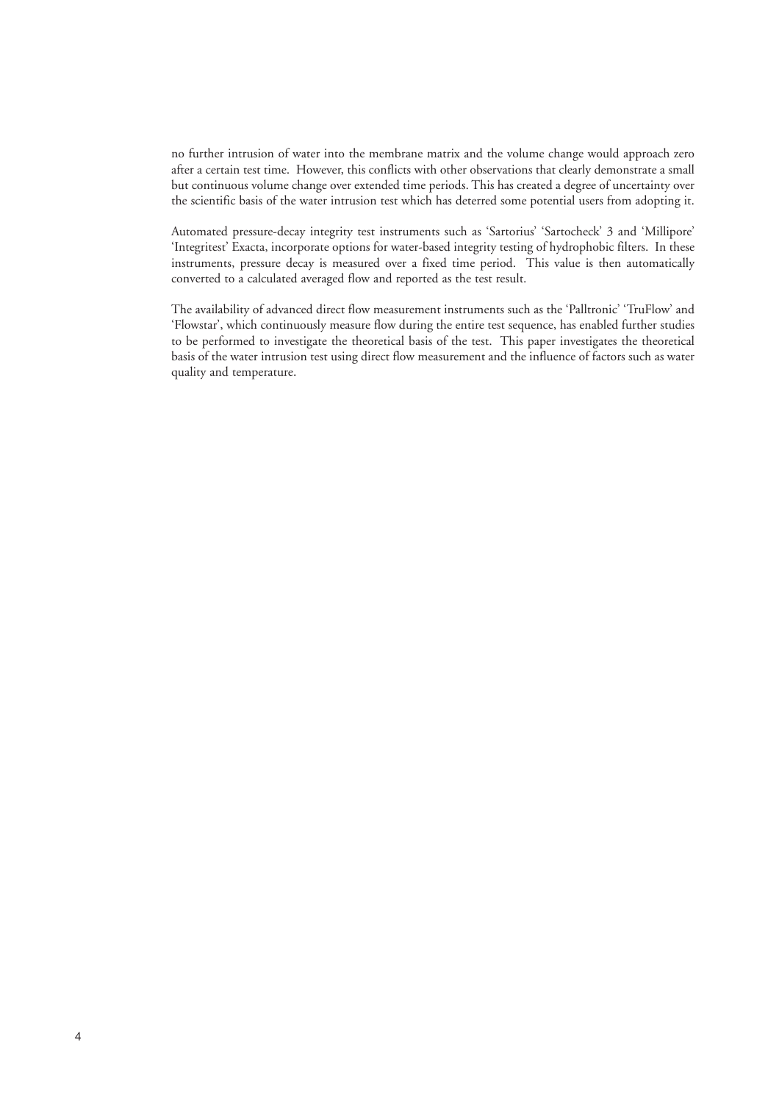no further intrusion of water into the membrane matrix and the volume change would approach zero after a certain test time. However, this conflicts with other observations that clearly demonstrate a small but continuous volume change over extended time periods. This has created a degree of uncertainty over the scientific basis of the water intrusion test which has deterred some potential users from adopting it.

Automated pressure-decay integrity test instruments such as 'Sartorius' 'Sartocheck' 3 and 'Millipore' 'Integritest' Exacta, incorporate options for water-based integrity testing of hydrophobic filters. In these instruments, pressure decay is measured over a fixed time period. This value is then automatically converted to a calculated averaged flow and reported as the test result.

The availability of advanced direct flow measurement instruments such as the 'Palltronic' 'TruFlow' and 'Flowstar', which continuously measure flow during the entire test sequence, has enabled further studies to be performed to investigate the theoretical basis of the test. This paper investigates the theoretical basis of the water intrusion test using direct flow measurement and the influence of factors such as water quality and temperature.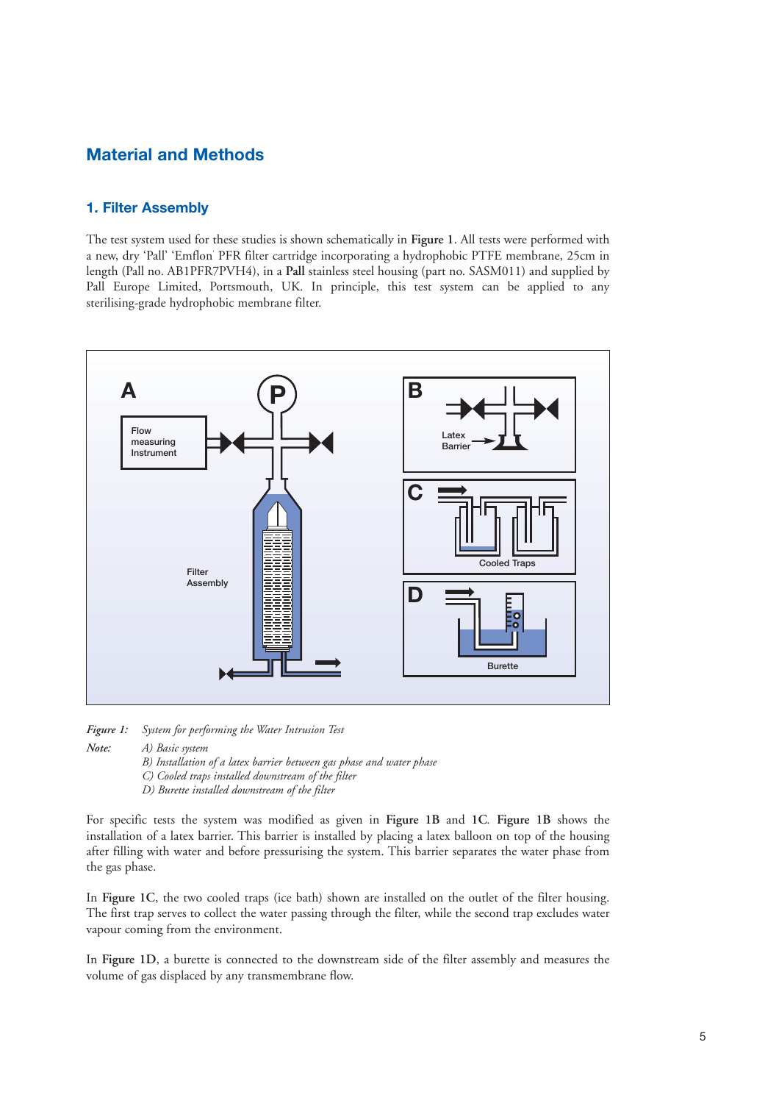# **Material and Methods**

# **1. Filter Assembly**

The test system used for these studies is shown schematically in **Figure 1**. All tests were performed with a new, dry 'Pall' 'Emflon' PFR filter cartridge incorporating a hydrophobic PTFE membrane, 25cm in length (Pall no. AB1PFR7PVH4), in a **Pall** stainless steel housing (part no. SASM011) and supplied by Pall Europe Limited, Portsmouth, UK. In principle, this test system can be applied to any sterilising-grade hydrophobic membrane filter.



*Figure 1: System for performing the Water Intrusion Test*

*Note: A) Basic system*

- *B) Installation of a latex barrier between gas phase and water phase*
- *C) Cooled traps installed downstream of the filter*

*D) Burette installed downstream of the filter*

For specific tests the system was modified as given in **Figure 1B** and **1C***.* **Figure 1B** shows the installation of a latex barrier. This barrier is installed by placing a latex balloon on top of the housing after filling with water and before pressurising the system. This barrier separates the water phase from the gas phase.

In **Figure 1C**, the two cooled traps (ice bath) shown are installed on the outlet of the filter housing. The first trap serves to collect the water passing through the filter, while the second trap excludes water vapour coming from the environment.

In **Figure 1D**, a burette is connected to the downstream side of the filter assembly and measures the volume of gas displaced by any transmembrane flow.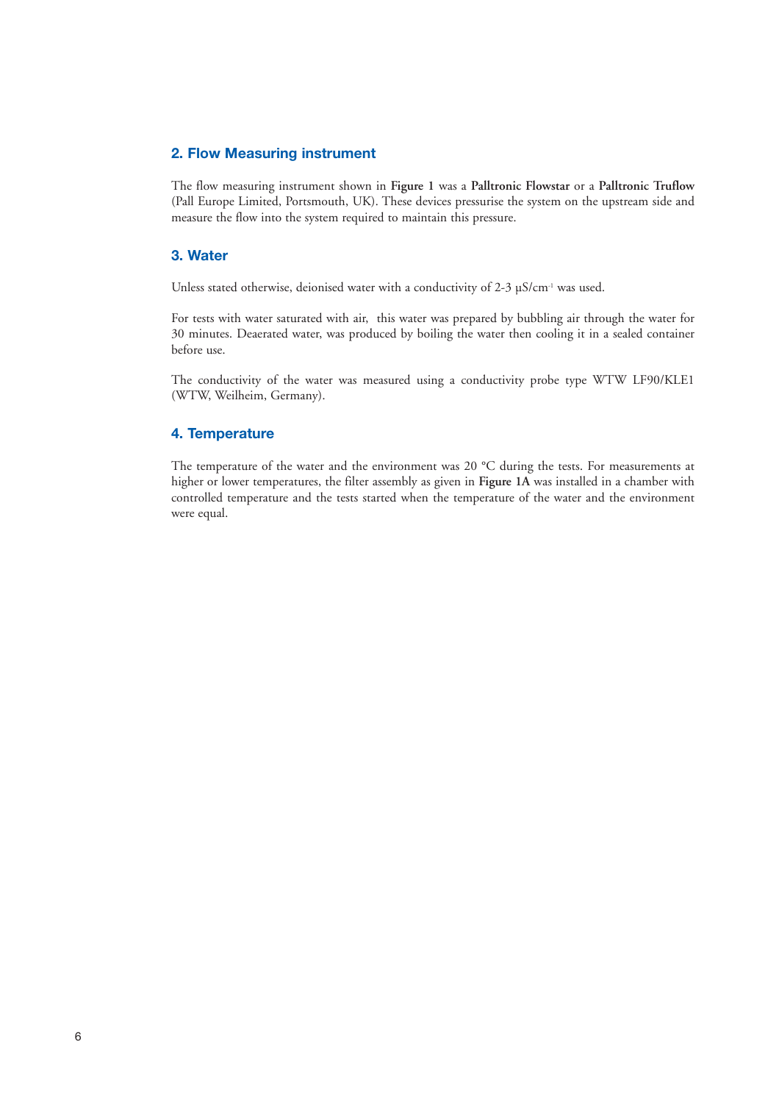# **2. Flow Measuring instrument**

The flow measuring instrument shown in **Figure 1** was a **Palltronic Flowstar** or a **Palltronic Truflow** (Pall Europe Limited, Portsmouth, UK). These devices pressurise the system on the upstream side and measure the flow into the system required to maintain this pressure.

# **3. Water**

Unless stated otherwise, deionised water with a conductivity of 2-3 µS/cm<sup>-1</sup> was used.

For tests with water saturated with air, this water was prepared by bubbling air through the water for 30 minutes. Deaerated water, was produced by boiling the water then cooling it in a sealed container before use.

The conductivity of the water was measured using a conductivity probe type WTW LF90/KLE1 (WTW, Weilheim, Germany).

# **4. Temperature**

The temperature of the water and the environment was 20 °C during the tests. For measurements at higher or lower temperatures, the filter assembly as given in **Figure 1A** was installed in a chamber with controlled temperature and the tests started when the temperature of the water and the environment were equal.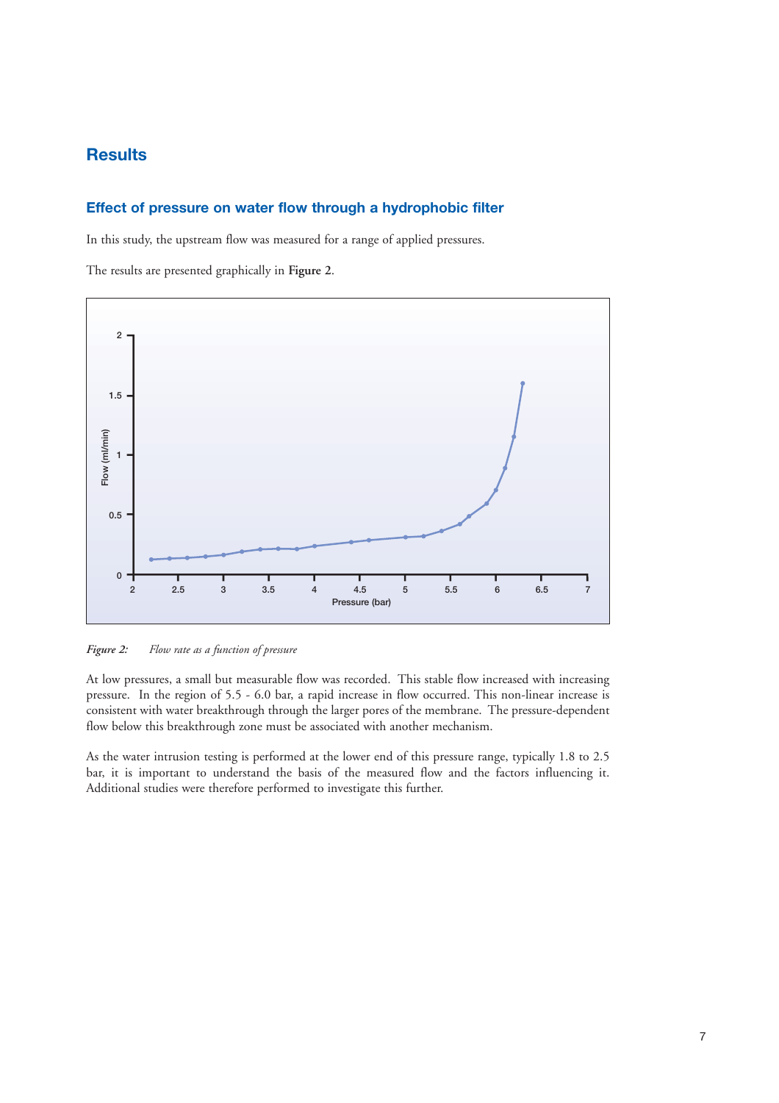# **Results**

# **Effect of pressure on water flow through a hydrophobic filter**

In this study, the upstream flow was measured for a range of applied pressures.

The results are presented graphically in **Figure 2**.



*Figure 2: Flow rate as a function of pressure*

At low pressures, a small but measurable flow was recorded. This stable flow increased with increasing pressure. In the region of 5.5 - 6.0 bar, a rapid increase in flow occurred. This non-linear increase is consistent with water breakthrough through the larger pores of the membrane. The pressure-dependent flow below this breakthrough zone must be associated with another mechanism.

As the water intrusion testing is performed at the lower end of this pressure range, typically 1.8 to 2.5 bar, it is important to understand the basis of the measured flow and the factors influencing it. Additional studies were therefore performed to investigate this further.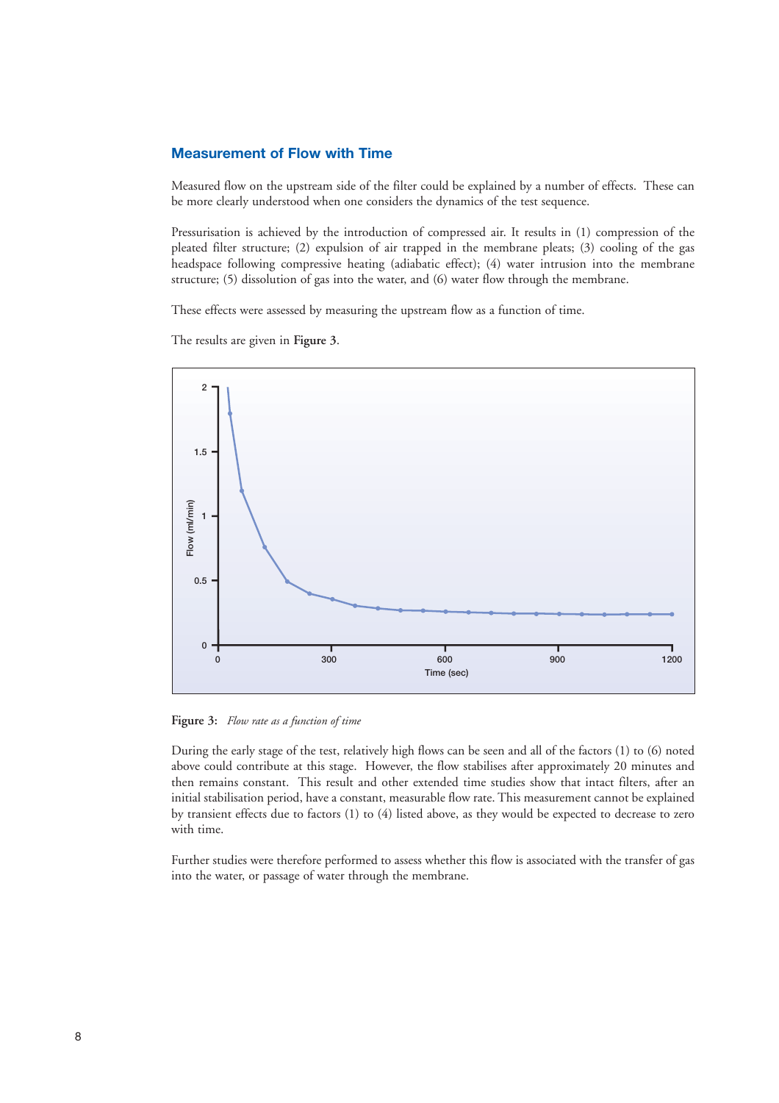## **Measurement of Flow with Time**

Measured flow on the upstream side of the filter could be explained by a number of effects. These can be more clearly understood when one considers the dynamics of the test sequence.

Pressurisation is achieved by the introduction of compressed air. It results in (1) compression of the pleated filter structure; (2) expulsion of air trapped in the membrane pleats; (3) cooling of the gas headspace following compressive heating (adiabatic effect); (4) water intrusion into the membrane structure; (5) dissolution of gas into the water, and (6) water flow through the membrane.

These effects were assessed by measuring the upstream flow as a function of time.

The results are given in **Figure 3**.



**Figure 3:** *Flow rate as a function of time*

During the early stage of the test, relatively high flows can be seen and all of the factors (1) to (6) noted above could contribute at this stage. However, the flow stabilises after approximately 20 minutes and then remains constant. This result and other extended time studies show that intact filters, after an initial stabilisation period, have a constant, measurable flow rate. This measurement cannot be explained by transient effects due to factors (1) to (4) listed above, as they would be expected to decrease to zero with time.

Further studies were therefore performed to assess whether this flow is associated with the transfer of gas into the water, or passage of water through the membrane.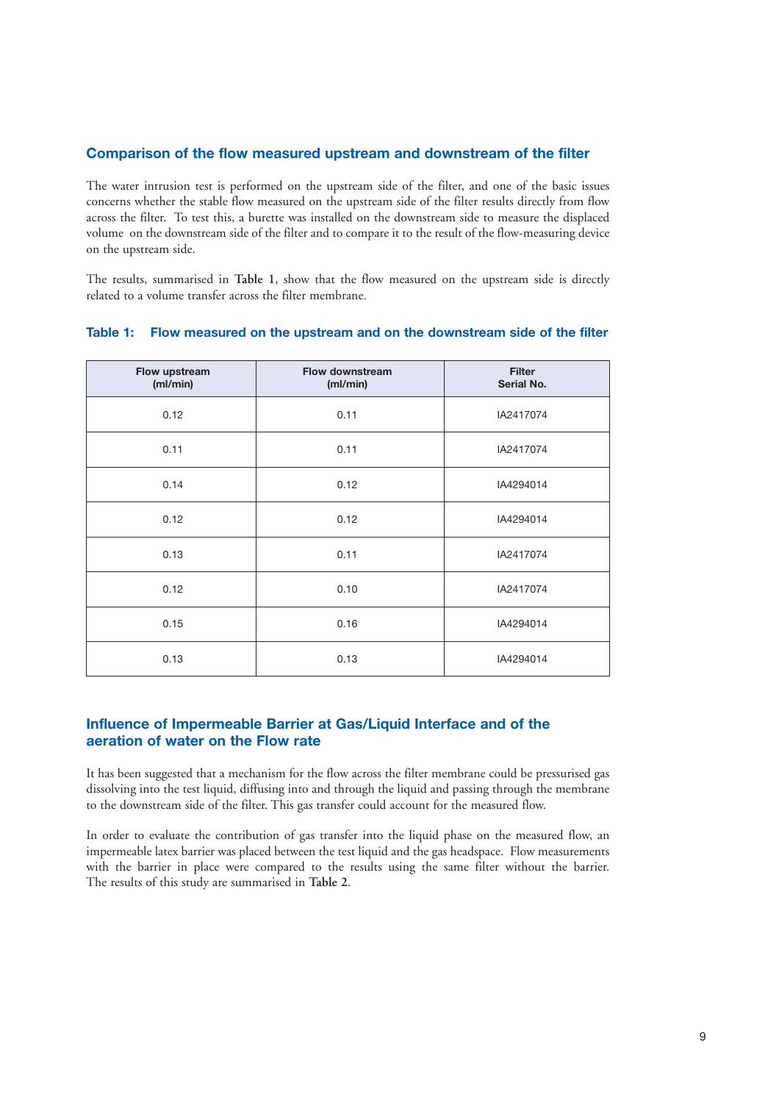# **Comparison of the flow measured upstream and downstream of the filter**

The water intrusion test is performed on the upstream side of the filter, and one of the basic issues concerns whether the stable flow measured on the upstream side of the filter results directly from flow across the filter. To test this, a burette was installed on the downstream side to measure the displaced volume on the downstream side of the filter and to compare it to the result of the flow-measuring device on the upstream side.

The results, summarised in **Table 1**, show that the flow measured on the upstream side is directly related to a volume transfer across the filter membrane.

| Flow upstream<br>(ml/min) | <b>Flow downstream</b><br>(ml/min) | <b>Filter</b><br>Serial No. |
|---------------------------|------------------------------------|-----------------------------|
| 0.12                      | 0.11                               | IA2417074                   |
| 0.11                      | 0.11                               | IA2417074                   |
| 0.14                      | 0.12                               | IA4294014                   |
| 0.12                      | 0.12                               | IA4294014                   |
| 0.13                      | 0.11                               | IA2417074                   |
| 0.12                      | 0.10                               | IA2417074                   |
| 0.15                      | 0.16                               | IA4294014                   |
| 0.13                      | 0.13                               | IA4294014                   |

#### **Table 1: Flow measured on the upstream and on the downstream side of the filter**

# **Influence of Impermeable Barrier at Gas/Liquid Interface and of the aeration of water on the Flow rate**

It has been suggested that a mechanism for the flow across the filter membrane could be pressurised gas dissolving into the test liquid, diffusing into and through the liquid and passing through the membrane to the downstream side of the filter. This gas transfer could account for the measured flow.

In order to evaluate the contribution of gas transfer into the liquid phase on the measured flow, an impermeable latex barrier was placed between the test liquid and the gas headspace. Flow measurements with the barrier in place were compared to the results using the same filter without the barrier. The results of this study are summarised in **Table 2**.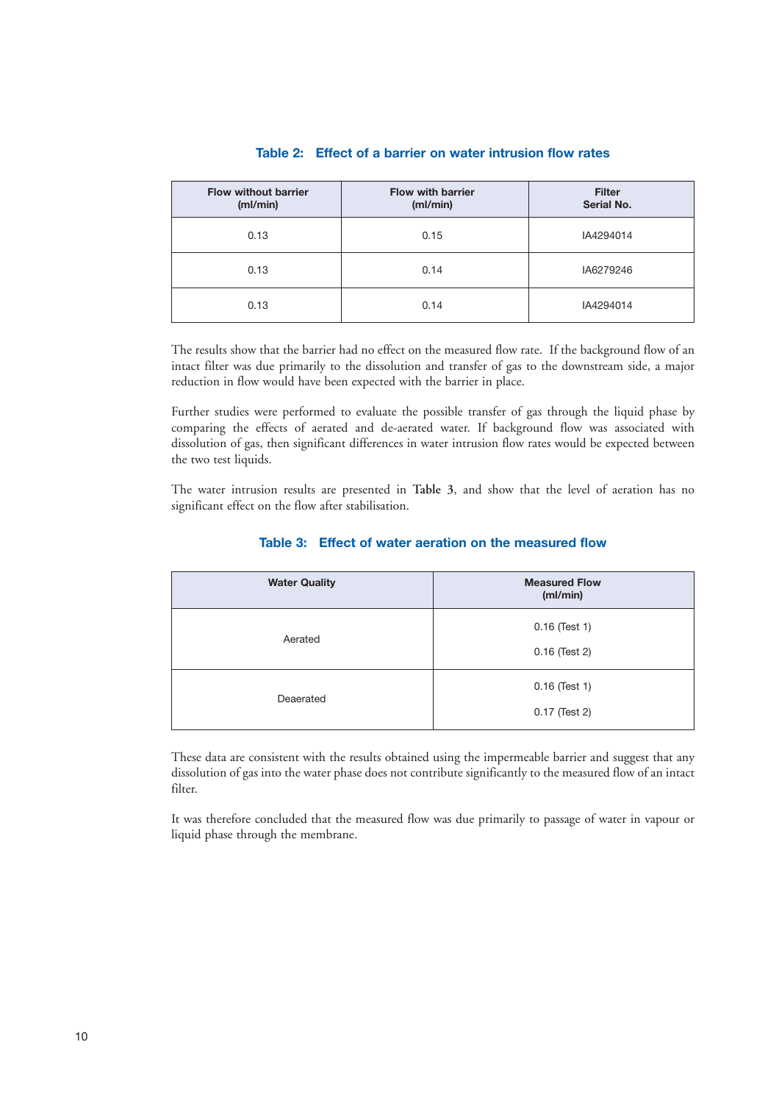| <b>Flow without barrier</b><br>(mI/min) | <b>Flow with barrier</b><br>(ml/min) | <b>Filter</b><br>Serial No. |
|-----------------------------------------|--------------------------------------|-----------------------------|
| 0.13                                    | 0.15                                 | IA4294014                   |
| 0.13                                    | 0.14                                 | IA6279246                   |
| 0.13                                    | 0.14                                 | IA4294014                   |

# **Table 2: Effect of a barrier on water intrusion flow rates**

The results show that the barrier had no effect on the measured flow rate. If the background flow of an intact filter was due primarily to the dissolution and transfer of gas to the downstream side, a major reduction in flow would have been expected with the barrier in place.

Further studies were performed to evaluate the possible transfer of gas through the liquid phase by comparing the effects of aerated and de-aerated water. If background flow was associated with dissolution of gas, then significant differences in water intrusion flow rates would be expected between the two test liquids.

The water intrusion results are presented in **Table 3**, and show that the level of aeration has no significant effect on the flow after stabilisation.

| <b>Water Quality</b> | <b>Measured Flow</b><br>(mI/min) |
|----------------------|----------------------------------|
| Aerated              | $0.16$ (Test 1)<br>0.16 (Test 2) |
| Deaerated            | $0.16$ (Test 1)<br>0.17 (Test 2) |

# **Table 3: Effect of water aeration on the measured flow**

These data are consistent with the results obtained using the impermeable barrier and suggest that any dissolution of gas into the water phase does not contribute significantly to the measured flow of an intact filter.

It was therefore concluded that the measured flow was due primarily to passage of water in vapour or liquid phase through the membrane.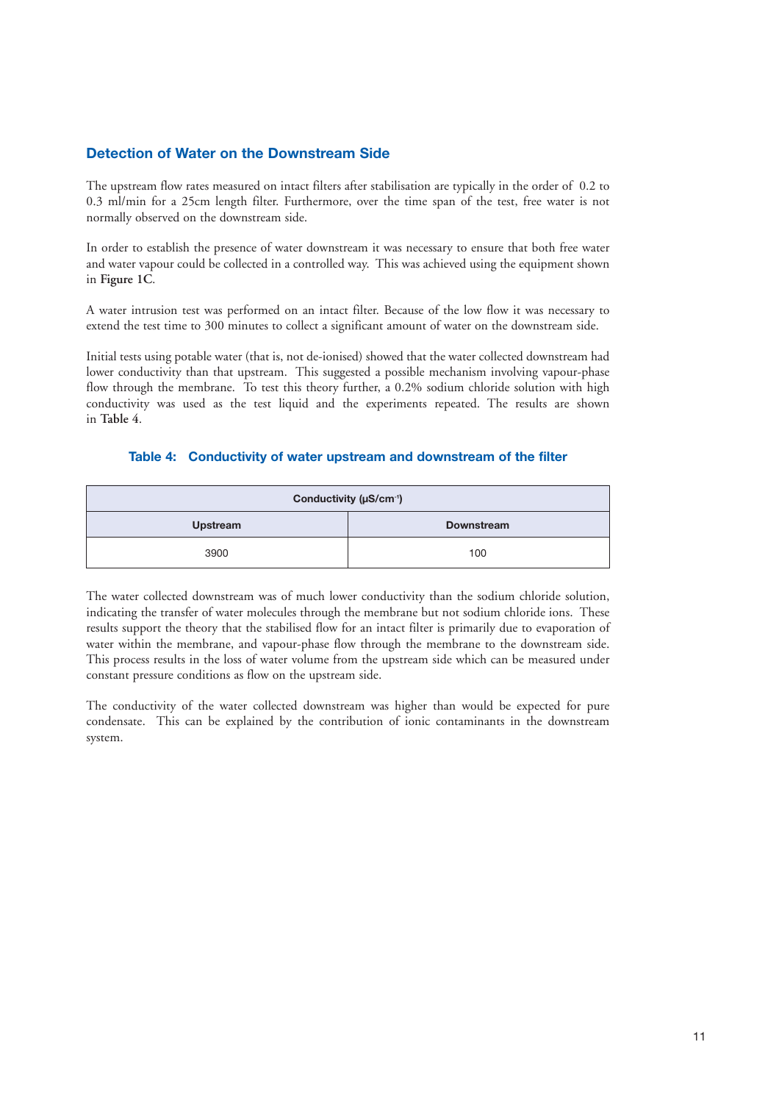# **Detection of Water on the Downstream Side**

The upstream flow rates measured on intact filters after stabilisation are typically in the order of 0.2 to 0.3 ml/min for a 25cm length filter. Furthermore, over the time span of the test, free water is not normally observed on the downstream side.

In order to establish the presence of water downstream it was necessary to ensure that both free water and water vapour could be collected in a controlled way. This was achieved using the equipment shown in **Figure 1C**.

A water intrusion test was performed on an intact filter. Because of the low flow it was necessary to extend the test time to 300 minutes to collect a significant amount of water on the downstream side.

Initial tests using potable water (that is, not de-ionised) showed that the water collected downstream had lower conductivity than that upstream. This suggested a possible mechanism involving vapour-phase flow through the membrane. To test this theory further, a 0.2% sodium chloride solution with high conductivity was used as the test liquid and the experiments repeated. The results are shown in **Table 4**.

#### **Table 4: Conductivity of water upstream and downstream of the filter**

| Conductivity (µS/cm <sup>-1</sup> ) |                   |  |
|-------------------------------------|-------------------|--|
| Upstream                            | <b>Downstream</b> |  |
| 3900                                | 100               |  |

The water collected downstream was of much lower conductivity than the sodium chloride solution, indicating the transfer of water molecules through the membrane but not sodium chloride ions. These results support the theory that the stabilised flow for an intact filter is primarily due to evaporation of water within the membrane, and vapour-phase flow through the membrane to the downstream side. This process results in the loss of water volume from the upstream side which can be measured under constant pressure conditions as flow on the upstream side.

The conductivity of the water collected downstream was higher than would be expected for pure condensate. This can be explained by the contribution of ionic contaminants in the downstream system.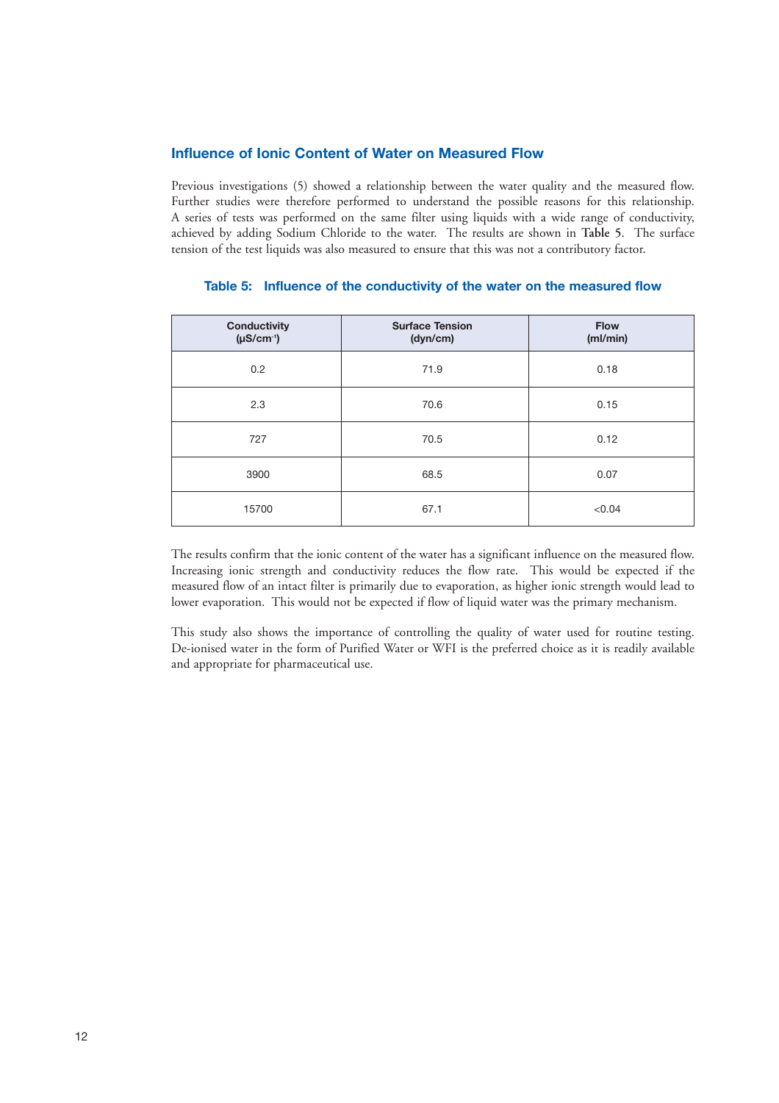# **Influence of Ionic Content of Water on Measured Flow**

Previous investigations (5) showed a relationship between the water quality and the measured flow. Further studies were therefore performed to understand the possible reasons for this relationship. A series of tests was performed on the same filter using liquids with a wide range of conductivity, achieved by adding Sodium Chloride to the water. The results are shown in **Table 5**. The surface tension of the test liquids was also measured to ensure that this was not a contributory factor.

| <b>Conductivity</b><br>$(\mu S/cm^{-1})$ | <b>Surface Tension</b><br>(dyn/cm) | <b>Flow</b><br>(ml/min) |
|------------------------------------------|------------------------------------|-------------------------|
| 0.2                                      | 71.9                               | 0.18                    |
| 2.3                                      | 70.6                               | 0.15                    |
| 727                                      | 70.5                               | 0.12                    |
| 3900                                     | 68.5                               | 0.07                    |
| 15700                                    | 67.1                               | < 0.04                  |

### **Table 5: Influence of the conductivity of the water on the measured flow**

The results confirm that the ionic content of the water has a significant influence on the measured flow. Increasing ionic strength and conductivity reduces the flow rate. This would be expected if the measured flow of an intact filter is primarily due to evaporation, as higher ionic strength would lead to lower evaporation. This would not be expected if flow of liquid water was the primary mechanism.

This study also shows the importance of controlling the quality of water used for routine testing. De-ionised water in the form of Purified Water or WFI is the preferred choice as it is readily available and appropriate for pharmaceutical use.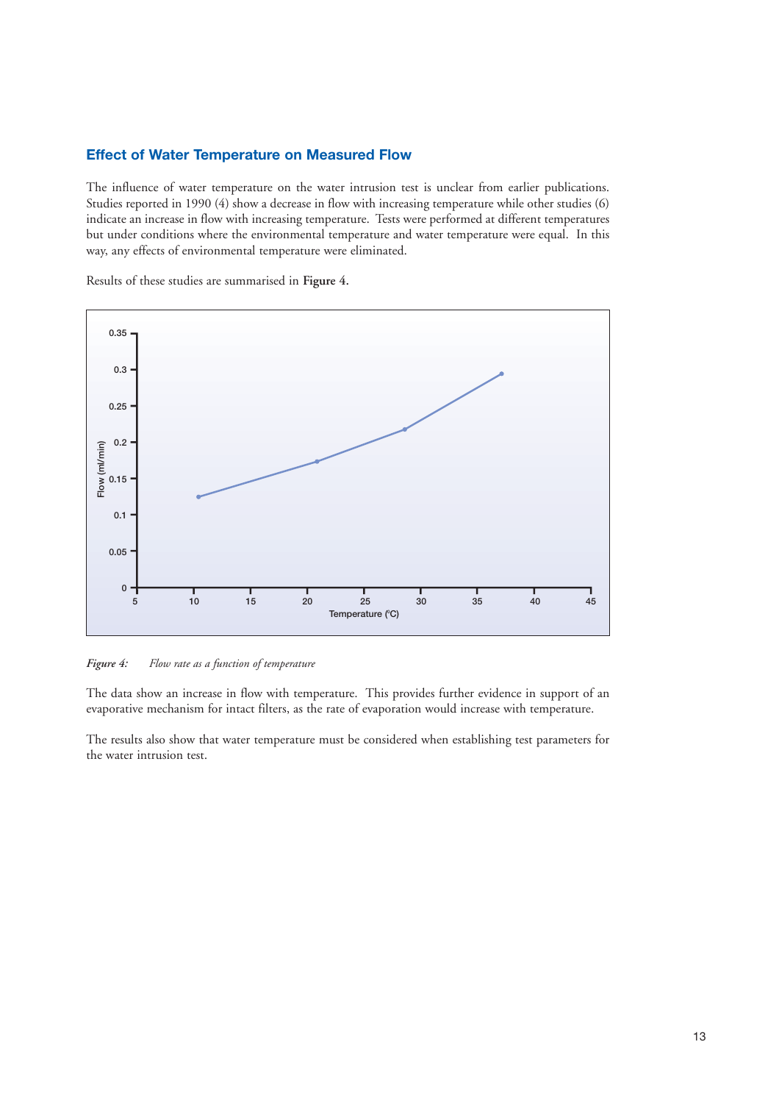### **Effect of Water Temperature on Measured Flow**

The influence of water temperature on the water intrusion test is unclear from earlier publications. Studies reported in 1990 (4) show a decrease in flow with increasing temperature while other studies (6) indicate an increase in flow with increasing temperature. Tests were performed at different temperatures but under conditions where the environmental temperature and water temperature were equal. In this way, any effects of environmental temperature were eliminated.

Results of these studies are summarised in **Figure 4.**



*Figure 4: Flow rate as a function of temperature*

The data show an increase in flow with temperature. This provides further evidence in support of an evaporative mechanism for intact filters, as the rate of evaporation would increase with temperature.

The results also show that water temperature must be considered when establishing test parameters for the water intrusion test.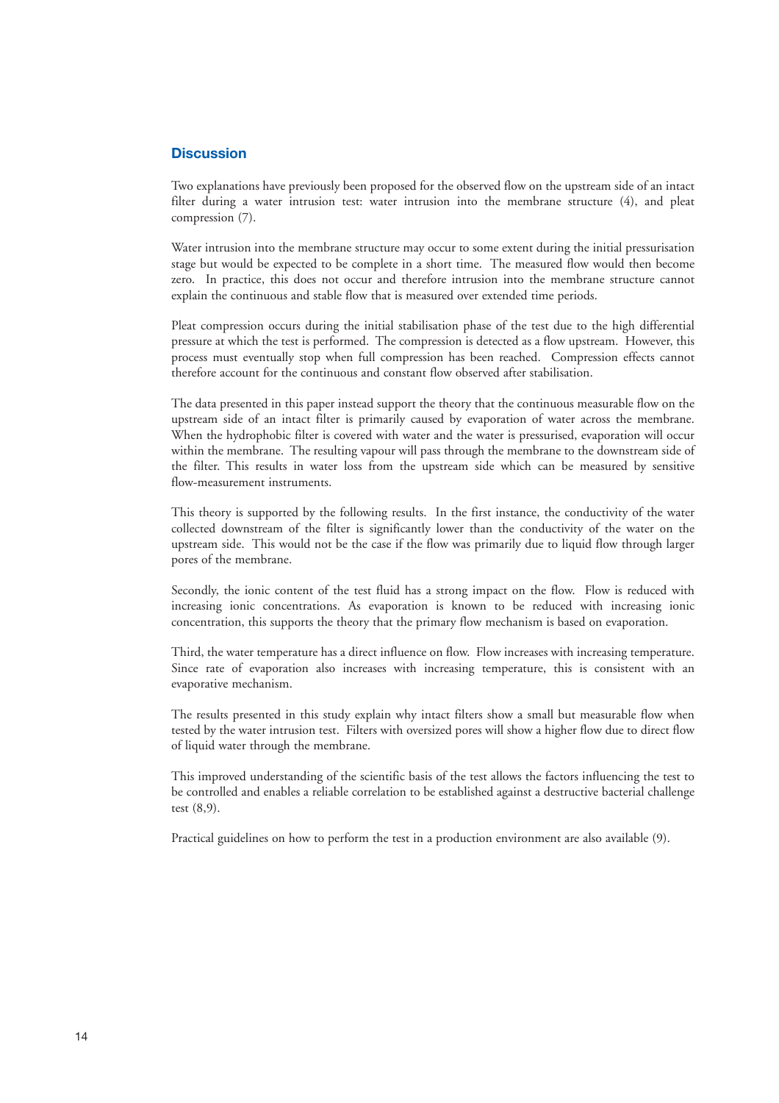### **Discussion**

Two explanations have previously been proposed for the observed flow on the upstream side of an intact filter during a water intrusion test: water intrusion into the membrane structure (4), and pleat compression (7).

Water intrusion into the membrane structure may occur to some extent during the initial pressurisation stage but would be expected to be complete in a short time. The measured flow would then become zero. In practice, this does not occur and therefore intrusion into the membrane structure cannot explain the continuous and stable flow that is measured over extended time periods.

Pleat compression occurs during the initial stabilisation phase of the test due to the high differential pressure at which the test is performed. The compression is detected as a flow upstream. However, this process must eventually stop when full compression has been reached. Compression effects cannot therefore account for the continuous and constant flow observed after stabilisation.

The data presented in this paper instead support the theory that the continuous measurable flow on the upstream side of an intact filter is primarily caused by evaporation of water across the membrane. When the hydrophobic filter is covered with water and the water is pressurised, evaporation will occur within the membrane. The resulting vapour will pass through the membrane to the downstream side of the filter. This results in water loss from the upstream side which can be measured by sensitive flow-measurement instruments.

This theory is supported by the following results. In the first instance, the conductivity of the water collected downstream of the filter is significantly lower than the conductivity of the water on the upstream side. This would not be the case if the flow was primarily due to liquid flow through larger pores of the membrane.

Secondly, the ionic content of the test fluid has a strong impact on the flow. Flow is reduced with increasing ionic concentrations. As evaporation is known to be reduced with increasing ionic concentration, this supports the theory that the primary flow mechanism is based on evaporation.

Third, the water temperature has a direct influence on flow. Flow increases with increasing temperature. Since rate of evaporation also increases with increasing temperature, this is consistent with an evaporative mechanism.

The results presented in this study explain why intact filters show a small but measurable flow when tested by the water intrusion test. Filters with oversized pores will show a higher flow due to direct flow of liquid water through the membrane.

This improved understanding of the scientific basis of the test allows the factors influencing the test to be controlled and enables a reliable correlation to be established against a destructive bacterial challenge test (8,9).

Practical guidelines on how to perform the test in a production environment are also available (9).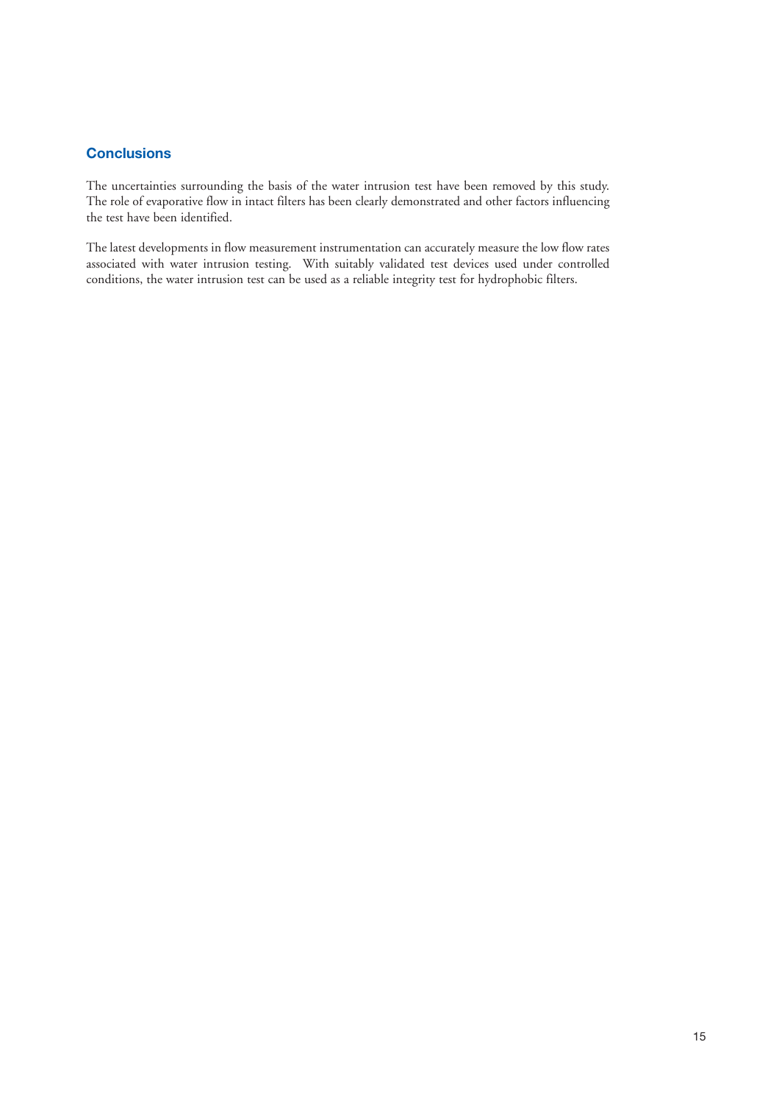# **Conclusions**

The uncertainties surrounding the basis of the water intrusion test have been removed by this study. The role of evaporative flow in intact filters has been clearly demonstrated and other factors influencing the test have been identified.

The latest developments in flow measurement instrumentation can accurately measure the low flow rates associated with water intrusion testing. With suitably validated test devices used under controlled conditions, the water intrusion test can be used as a reliable integrity test for hydrophobic filters.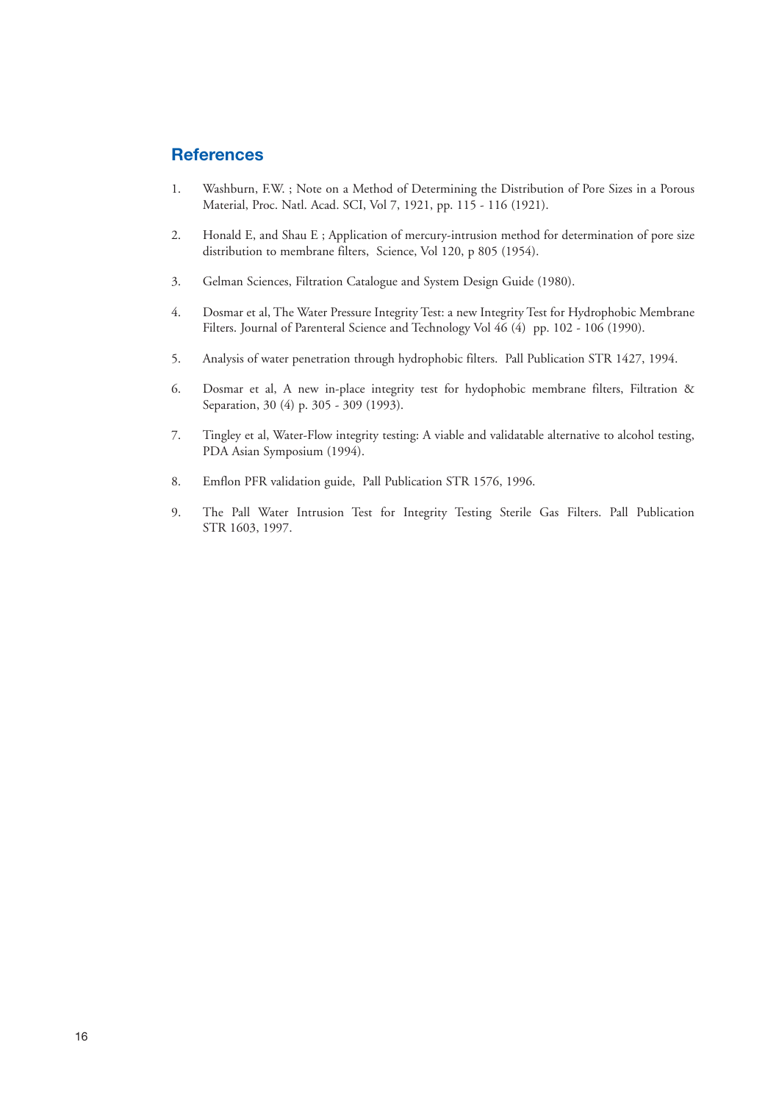# **References**

- 1. Washburn, F.W. ; Note on a Method of Determining the Distribution of Pore Sizes in a Porous Material, Proc. Natl. Acad. SCI, Vol 7, 1921, pp. 115 - 116 (1921).
- 2. Honald E, and Shau E ; Application of mercury-intrusion method for determination of pore size distribution to membrane filters, Science, Vol 120, p 805 (1954).
- 3. Gelman Sciences, Filtration Catalogue and System Design Guide (1980).
- 4. Dosmar et al, The Water Pressure Integrity Test: a new Integrity Test for Hydrophobic Membrane Filters. Journal of Parenteral Science and Technology Vol 46 (4) pp. 102 - 106 (1990).
- 5. Analysis of water penetration through hydrophobic filters. Pall Publication STR 1427, 1994.
- 6. Dosmar et al, A new in-place integrity test for hydophobic membrane filters, Filtration & Separation, 30 (4) p. 305 - 309 (1993).
- 7. Tingley et al, Water-Flow integrity testing: A viable and validatable alternative to alcohol testing, PDA Asian Symposium (1994).
- 8. Emflon PFR validation guide, Pall Publication STR 1576, 1996.
- 9. The Pall Water Intrusion Test for Integrity Testing Sterile Gas Filters. Pall Publication STR 1603, 1997.